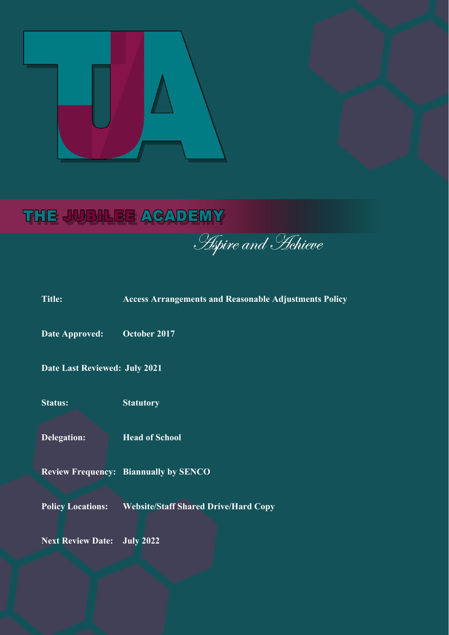# THE JUBILEE ACADEMY

**Aspire and Hehieve** 

| <b>Title:</b>                      | <b>Access Arrangements and Reasonable Adjustments Policy</b> |  |
|------------------------------------|--------------------------------------------------------------|--|
| <b>Date Approved:</b>              | October 2017                                                 |  |
| Date Last Reviewed: July 2021      |                                                              |  |
| <b>Status:</b>                     | <b>Statutory</b>                                             |  |
| <b>Delegation:</b>                 | <b>Head of School</b>                                        |  |
|                                    | <b>Review Frequency: Biannually by SENCO</b>                 |  |
| <b>Policy Locations:</b>           | <b>Website/Staff Shared Drive/Hard Copy</b>                  |  |
| <b>Next Review Date: July 2022</b> |                                                              |  |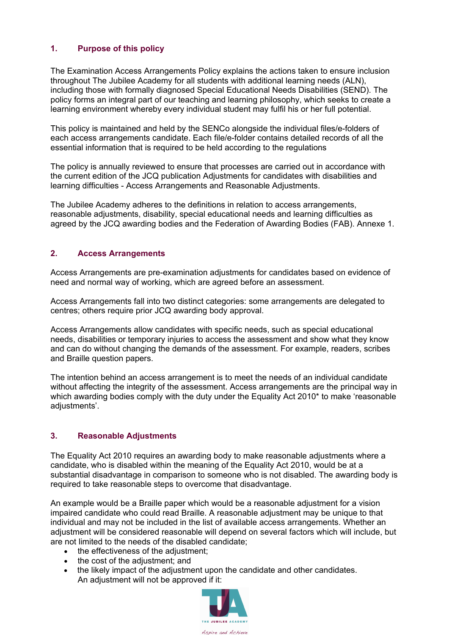# **1. Purpose of this policy**

The Examination Access Arrangements Policy explains the actions taken to ensure inclusion throughout The Jubilee Academy for all students with additional learning needs (ALN), including those with formally diagnosed Special Educational Needs Disabilities (SEND). The policy forms an integral part of our teaching and learning philosophy, which seeks to create a learning environment whereby every individual student may fulfil his or her full potential.

This policy is maintained and held by the SENCo alongside the individual files/e-folders of each access arrangements candidate. Each file/e-folder contains detailed records of all the essential information that is required to be held according to the regulations

The policy is annually reviewed to ensure that processes are carried out in accordance with the current edition of the JCQ publication Adjustments for candidates with disabilities and learning difficulties - Access Arrangements and Reasonable Adjustments.

The Jubilee Academy adheres to the definitions in relation to access arrangements, reasonable adjustments, disability, special educational needs and learning difficulties as agreed by the JCQ awarding bodies and the Federation of Awarding Bodies (FAB). Annexe 1.

### **2. Access Arrangements**

Access Arrangements are pre-examination adjustments for candidates based on evidence of need and normal way of working, which are agreed before an assessment.

Access Arrangements fall into two distinct categories: some arrangements are delegated to centres; others require prior JCQ awarding body approval.

Access Arrangements allow candidates with specific needs, such as special educational needs, disabilities or temporary injuries to access the assessment and show what they know and can do without changing the demands of the assessment. For example, readers, scribes and Braille question papers.

The intention behind an access arrangement is to meet the needs of an individual candidate without affecting the integrity of the assessment. Access arrangements are the principal way in which awarding bodies comply with the duty under the Equality Act 2010\* to make 'reasonable adjustments'.

# **3. Reasonable Adjustments**

The Equality Act 2010 requires an awarding body to make reasonable adjustments where a candidate, who is disabled within the meaning of the Equality Act 2010, would be at a substantial disadvantage in comparison to someone who is not disabled. The awarding body is required to take reasonable steps to overcome that disadvantage.

An example would be a Braille paper which would be a reasonable adjustment for a vision impaired candidate who could read Braille. A reasonable adjustment may be unique to that individual and may not be included in the list of available access arrangements. Whether an adjustment will be considered reasonable will depend on several factors which will include, but are not limited to the needs of the disabled candidate;

- the effectiveness of the adjustment;
- the cost of the adjustment; and
- the likely impact of the adjustment upon the candidate and other candidates. An adjustment will not be approved if it:

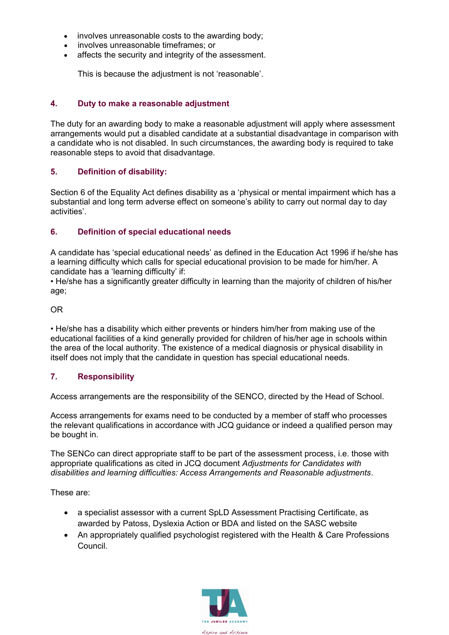- involves unreasonable costs to the awarding body:
- involves unreasonable timeframes; or
- affects the security and integrity of the assessment.

This is because the adjustment is not 'reasonable'.

#### **4. Duty to make a reasonable adjustment**

The duty for an awarding body to make a reasonable adjustment will apply where assessment arrangements would put a disabled candidate at a substantial disadvantage in comparison with a candidate who is not disabled. In such circumstances, the awarding body is required to take reasonable steps to avoid that disadvantage.

#### **5. Definition of disability:**

Section 6 of the Equality Act defines disability as a 'physical or mental impairment which has a substantial and long term adverse effect on someone's ability to carry out normal day to day activities'.

#### **6. Definition of special educational needs**

A candidate has 'special educational needs' as defined in the Education Act 1996 if he/she has a learning difficulty which calls for special educational provision to be made for him/her. A candidate has a 'learning difficulty' if:

• He/she has a significantly greater difficulty in learning than the majority of children of his/her age;

#### OR

• He/she has a disability which either prevents or hinders him/her from making use of the educational facilities of a kind generally provided for children of his/her age in schools within the area of the local authority. The existence of a medical diagnosis or physical disability in itself does not imply that the candidate in question has special educational needs.

#### **7. Responsibility**

Access arrangements are the responsibility of the SENCO, directed by the Head of School.

Access arrangements for exams need to be conducted by a member of staff who processes the relevant qualifications in accordance with JCQ guidance or indeed a qualified person may be bought in.

The SENCo can direct appropriate staff to be part of the assessment process, i.e. those with appropriate qualifications as cited in JCQ document *Adjustments for Candidates with disabilities and learning difficulties: Access Arrangements and Reasonable adjustments*.

These are:

- a specialist assessor with a current SpLD Assessment Practising Certificate, as awarded by Patoss, Dyslexia Action or BDA and listed on the SASC website
- An appropriately qualified psychologist registered with the Health & Care Professions Council.

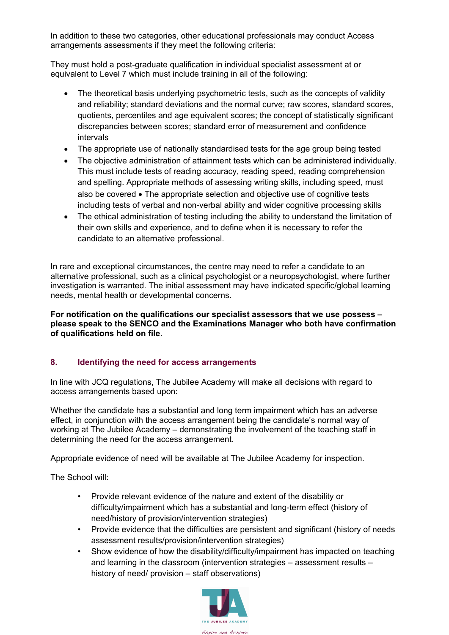In addition to these two categories, other educational professionals may conduct Access arrangements assessments if they meet the following criteria:

They must hold a post-graduate qualification in individual specialist assessment at or equivalent to Level 7 which must include training in all of the following:

- The theoretical basis underlying psychometric tests, such as the concepts of validity and reliability; standard deviations and the normal curve; raw scores, standard scores, quotients, percentiles and age equivalent scores; the concept of statistically significant discrepancies between scores; standard error of measurement and confidence intervals
- The appropriate use of nationally standardised tests for the age group being tested
- The objective administration of attainment tests which can be administered individually. This must include tests of reading accuracy, reading speed, reading comprehension and spelling. Appropriate methods of assessing writing skills, including speed, must also be covered • The appropriate selection and objective use of cognitive tests including tests of verbal and non-verbal ability and wider cognitive processing skills
- The ethical administration of testing including the ability to understand the limitation of their own skills and experience, and to define when it is necessary to refer the candidate to an alternative professional.

In rare and exceptional circumstances, the centre may need to refer a candidate to an alternative professional, such as a clinical psychologist or a neuropsychologist, where further investigation is warranted. The initial assessment may have indicated specific/global learning needs, mental health or developmental concerns.

**For notification on the qualifications our specialist assessors that we use possess – please speak to the SENCO and the Examinations Manager who both have confirmation of qualifications held on file**.

# **8. Identifying the need for access arrangements**

In line with JCQ regulations, The Jubilee Academy will make all decisions with regard to access arrangements based upon:

Whether the candidate has a substantial and long term impairment which has an adverse effect, in conjunction with the access arrangement being the candidate's normal way of working at The Jubilee Academy – demonstrating the involvement of the teaching staff in determining the need for the access arrangement.

Appropriate evidence of need will be available at The Jubilee Academy for inspection.

The School will:

- Provide relevant evidence of the nature and extent of the disability or difficulty/impairment which has a substantial and long-term effect (history of need/history of provision/intervention strategies)
- Provide evidence that the difficulties are persistent and significant (history of needs assessment results/provision/intervention strategies)
- Show evidence of how the disability/difficulty/impairment has impacted on teaching and learning in the classroom (intervention strategies – assessment results – history of need/ provision – staff observations)

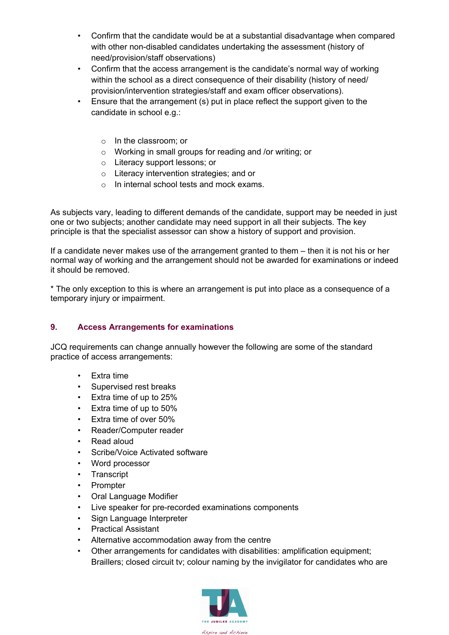- Confirm that the candidate would be at a substantial disadvantage when compared with other non-disabled candidates undertaking the assessment (history of need/provision/staff observations)
- Confirm that the access arrangement is the candidate's normal way of working within the school as a direct consequence of their disability (history of need/ provision/intervention strategies/staff and exam officer observations).
- Ensure that the arrangement (s) put in place reflect the support given to the candidate in school e.g.:
	- o In the classroom; or
	- o Working in small groups for reading and /or writing; or
	- o Literacy support lessons; or
	- o Literacy intervention strategies; and or
	- $\circ$  In internal school tests and mock exams.

As subjects vary, leading to different demands of the candidate, support may be needed in just one or two subjects; another candidate may need support in all their subjects. The key principle is that the specialist assessor can show a history of support and provision.

If a candidate never makes use of the arrangement granted to them – then it is not his or her normal way of working and the arrangement should not be awarded for examinations or indeed it should be removed.

\* The only exception to this is where an arrangement is put into place as a consequence of a temporary injury or impairment.

#### **9. Access Arrangements for examinations**

JCQ requirements can change annually however the following are some of the standard practice of access arrangements:

- Extra time
- Supervised rest breaks
- Extra time of up to 25%
- Extra time of up to 50%
- Extra time of over 50%
- Reader/Computer reader
- Read aloud
- Scribe/Voice Activated software
- Word processor
- **Transcript**
- Prompter
- Oral Language Modifier
- Live speaker for pre-recorded examinations components
- Sign Language Interpreter
- Practical Assistant
- Alternative accommodation away from the centre
- Other arrangements for candidates with disabilities: amplification equipment; Braillers; closed circuit tv; colour naming by the invigilator for candidates who are

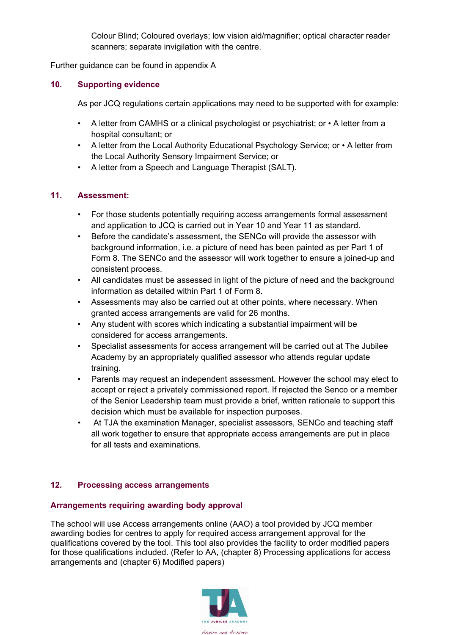Colour Blind; Coloured overlays; low vision aid/magnifier; optical character reader scanners; separate invigilation with the centre.

Further guidance can be found in appendix A

### **10. Supporting evidence**

As per JCQ regulations certain applications may need to be supported with for example:

- A letter from CAMHS or a clinical psychologist or psychiatrist; or A letter from a hospital consultant; or
- A letter from the Local Authority Educational Psychology Service; or A letter from the Local Authority Sensory Impairment Service; or
- A letter from a Speech and Language Therapist (SALT).

### **11. Assessment:**

- For those students potentially requiring access arrangements formal assessment and application to JCQ is carried out in Year 10 and Year 11 as standard.
- Before the candidate's assessment, the SENCo will provide the assessor with background information, i.e. a picture of need has been painted as per Part 1 of Form 8. The SENCo and the assessor will work together to ensure a joined-up and consistent process.
- All candidates must be assessed in light of the picture of need and the background information as detailed within Part 1 of Form 8.
- Assessments may also be carried out at other points, where necessary. When granted access arrangements are valid for 26 months.
- Any student with scores which indicating a substantial impairment will be considered for access arrangements.
- Specialist assessments for access arrangement will be carried out at The Jubilee Academy by an appropriately qualified assessor who attends regular update training.
- Parents may request an independent assessment. However the school may elect to accept or reject a privately commissioned report. If rejected the Senco or a member of the Senior Leadership team must provide a brief, written rationale to support this decision which must be available for inspection purposes.
- At TJA the examination Manager, specialist assessors, SENCo and teaching staff all work together to ensure that appropriate access arrangements are put in place for all tests and examinations.

# **12. Processing access arrangements**

# **Arrangements requiring awarding body approval**

The school will use Access arrangements online (AAO) a tool provided by JCQ member awarding bodies for centres to apply for required access arrangement approval for the qualifications covered by the tool. This tool also provides the facility to order modified papers for those qualifications included. (Refer to [AA,](http://www.jcq.org.uk/exams-office/access-arrangements-and-special-consideration/regulations-and-guidance) (chapter 8) Processing applications for access arrangements and (chapter 6) Modified papers)

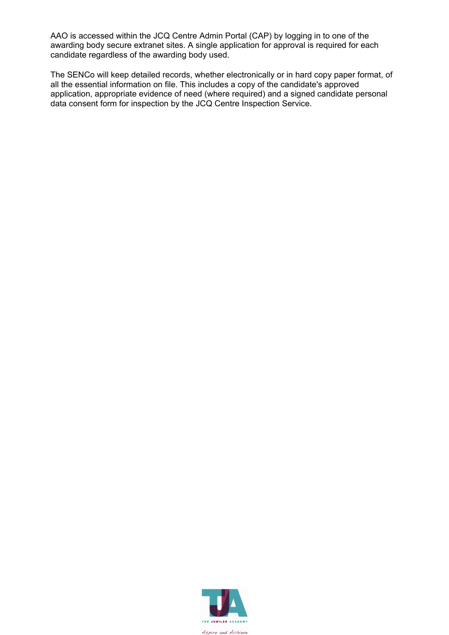AAO is accessed within the JCQ Centre Admin Portal (CAP) by logging in to one of the awarding body secure extranet sites. A single application for approval is required for each candidate regardless of the awarding body used.

The SENCo will keep detailed records, whether electronically or in hard copy paper format, of all the essential information on file. This includes a copy of the candidate's approved application, appropriate evidence of need (where required) and a signed candidate personal data consent form for inspection by the JCQ Centre Inspection Service.

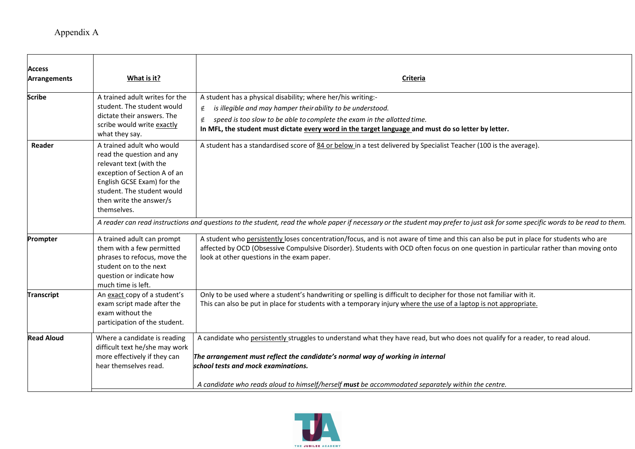| <b>Access</b>     |                                                                                                                                                                                                                         |                                                                                                                                                                                                                                                                                                                             |  |
|-------------------|-------------------------------------------------------------------------------------------------------------------------------------------------------------------------------------------------------------------------|-----------------------------------------------------------------------------------------------------------------------------------------------------------------------------------------------------------------------------------------------------------------------------------------------------------------------------|--|
| Arrangements      | What is it?                                                                                                                                                                                                             | Criteria                                                                                                                                                                                                                                                                                                                    |  |
| <b>Scribe</b>     | A trained adult writes for the<br>student. The student would<br>dictate their answers. The<br>scribe would write exactly<br>what they say.                                                                              | A student has a physical disability; where her/his writing:-<br>is illegible and may hamper their ability to be understood.<br>∉<br>speed is too slow to be able to complete the exam in the allotted time.<br>∉<br>In MFL, the student must dictate every word in the target language and must do so letter by letter.     |  |
| Reader            | A trained adult who would<br>read the question and any<br>relevant text (with the<br>exception of Section A of an<br>English GCSE Exam) for the<br>student. The student would<br>then write the answer/s<br>themselves. | A student has a standardised score of 84 or below in a test delivered by Specialist Teacher (100 is the average).                                                                                                                                                                                                           |  |
|                   | A reader can read instructions and questions to the student, read the whole paper if necessary or the student may prefer to just ask for some specific words to be read to them.                                        |                                                                                                                                                                                                                                                                                                                             |  |
| Prompter          | A trained adult can prompt<br>them with a few permitted<br>phrases to refocus, move the<br>student on to the next<br>question or indicate how<br>much time is left.                                                     | A student who persistently loses concentration/focus, and is not aware of time and this can also be put in place for students who are<br>affected by OCD (Obsessive Compulsive Disorder). Students with OCD often focus on one question in particular rather than moving onto<br>look at other questions in the exam paper. |  |
| <b>Transcript</b> | An exact copy of a student's<br>exam script made after the<br>exam without the<br>participation of the student.                                                                                                         | Only to be used where a student's handwriting or spelling is difficult to decipher for those not familiar with it.<br>This can also be put in place for students with a temporary injury where the use of a laptop is not appropriate.                                                                                      |  |
| <b>Read Aloud</b> | Where a candidate is reading<br>difficult text he/she may work<br>more effectively if they can<br>hear themselves read.                                                                                                 | A candidate who persistently struggles to understand what they have read, but who does not qualify for a reader, to read aloud.<br>The arrangement must reflect the candidate's normal way of working in internal<br>school tests and mock examinations.                                                                    |  |
|                   |                                                                                                                                                                                                                         | A candidate who reads aloud to himself/herself must be accommodated separately within the centre.                                                                                                                                                                                                                           |  |

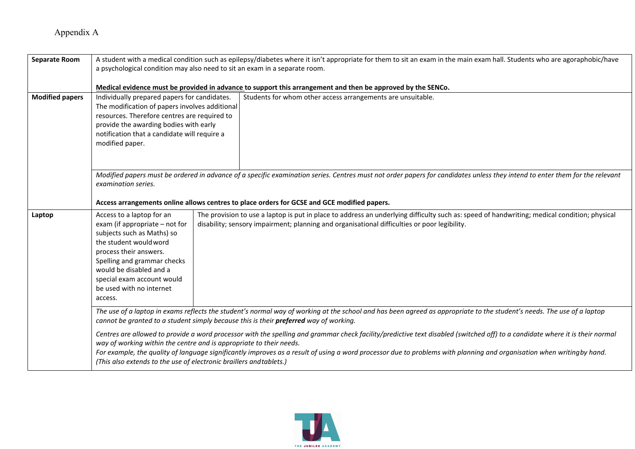| <b>Separate Room</b>   | A student with a medical condition such as epilepsy/diabetes where it isn't appropriate for them to sit an exam in the main exam hall. Students who are agoraphobic/have<br>a psychological condition may also need to sit an exam in a separate room.                                                                                                                                                                                                                                                                                                                                                                                                                                          |  |  |
|------------------------|-------------------------------------------------------------------------------------------------------------------------------------------------------------------------------------------------------------------------------------------------------------------------------------------------------------------------------------------------------------------------------------------------------------------------------------------------------------------------------------------------------------------------------------------------------------------------------------------------------------------------------------------------------------------------------------------------|--|--|
|                        | Medical evidence must be provided in advance to support this arrangement and then be approved by the SENCo.                                                                                                                                                                                                                                                                                                                                                                                                                                                                                                                                                                                     |  |  |
| <b>Modified papers</b> | Students for whom other access arrangements are unsuitable.<br>Individually prepared papers for candidates.<br>The modification of papers involves additional<br>resources. Therefore centres are required to<br>provide the awarding bodies with early<br>notification that a candidate will require a<br>modified paper.                                                                                                                                                                                                                                                                                                                                                                      |  |  |
|                        | Modified papers must be ordered in advance of a specific examination series. Centres must not order papers for candidates unless they intend to enter them for the relevant<br>examination series.<br>Access arrangements online allows centres to place orders for GCSE and GCE modified papers.                                                                                                                                                                                                                                                                                                                                                                                               |  |  |
| Laptop                 | The provision to use a laptop is put in place to address an underlying difficulty such as: speed of handwriting; medical condition; physical<br>Access to a laptop for an<br>exam (if appropriate – not for<br>disability; sensory impairment; planning and organisational difficulties or poor legibility.<br>subjects such as Maths) so<br>the student would word<br>process their answers.<br>Spelling and grammar checks<br>would be disabled and a<br>special exam account would<br>be used with no internet<br>access.                                                                                                                                                                    |  |  |
|                        | The use of a laptop in exams reflects the student's normal way of working at the school and has been agreed as appropriate to the student's needs. The use of a laptop<br>cannot be granted to a student simply because this is their preferred way of working.<br>Centres are allowed to provide a word processor with the spelling and grammar check facility/predictive text disabled (switched off) to a candidate where it is their normal<br>way of working within the centre and is appropriate to their needs.<br>For example, the quality of language significantly improves as a result of using a word processor due to problems with planning and organisation when writingby hand. |  |  |
|                        | (This also extends to the use of electronic braillers and tablets.)                                                                                                                                                                                                                                                                                                                                                                                                                                                                                                                                                                                                                             |  |  |

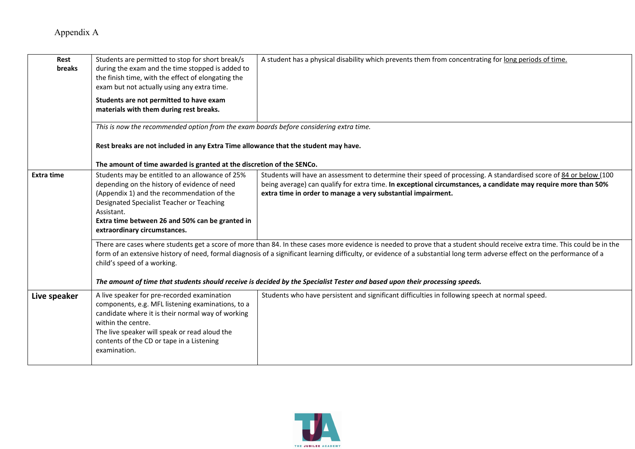| Rest<br>breaks    | Students are permitted to stop for short break/s<br>during the exam and the time stopped is added to<br>the finish time, with the effect of elongating the<br>exam but not actually using any extra time.                                                                                   | A student has a physical disability which prevents them from concentrating for long periods of time.                                                                                                                                                                                                                                                     |
|-------------------|---------------------------------------------------------------------------------------------------------------------------------------------------------------------------------------------------------------------------------------------------------------------------------------------|----------------------------------------------------------------------------------------------------------------------------------------------------------------------------------------------------------------------------------------------------------------------------------------------------------------------------------------------------------|
|                   | Students are not permitted to have exam<br>materials with them during rest breaks.                                                                                                                                                                                                          |                                                                                                                                                                                                                                                                                                                                                          |
|                   | This is now the recommended option from the exam boards before considering extra time.                                                                                                                                                                                                      |                                                                                                                                                                                                                                                                                                                                                          |
|                   | Rest breaks are not included in any Extra Time allowance that the student may have.<br>The amount of time awarded is granted at the discretion of the SENCo.                                                                                                                                |                                                                                                                                                                                                                                                                                                                                                          |
| <b>Extra time</b> | Students may be entitled to an allowance of 25%<br>depending on the history of evidence of need<br>(Appendix 1) and the recommendation of the<br>Designated Specialist Teacher or Teaching<br>Assistant.<br>Extra time between 26 and 50% can be granted in<br>extraordinary circumstances. | Students will have an assessment to determine their speed of processing. A standardised score of 84 or below (100<br>being average) can qualify for extra time. In exceptional circumstances, a candidate may require more than 50%<br>extra time in order to manage a very substantial impairment.                                                      |
|                   | child's speed of a working.                                                                                                                                                                                                                                                                 | There are cases where students get a score of more than 84. In these cases more evidence is needed to prove that a student should receive extra time. This could be in the<br>form of an extensive history of need, formal diagnosis of a significant learning difficulty, or evidence of a substantial long term adverse effect on the performance of a |
|                   |                                                                                                                                                                                                                                                                                             | The amount of time that students should receive is decided by the Specialist Tester and based upon their processing speeds.                                                                                                                                                                                                                              |
| Live speaker      | A live speaker for pre-recorded examination<br>components, e.g. MFL listening examinations, to a<br>candidate where it is their normal way of working<br>within the centre.<br>The live speaker will speak or read aloud the<br>contents of the CD or tape in a Listening<br>examination.   | Students who have persistent and significant difficulties in following speech at normal speed.                                                                                                                                                                                                                                                           |

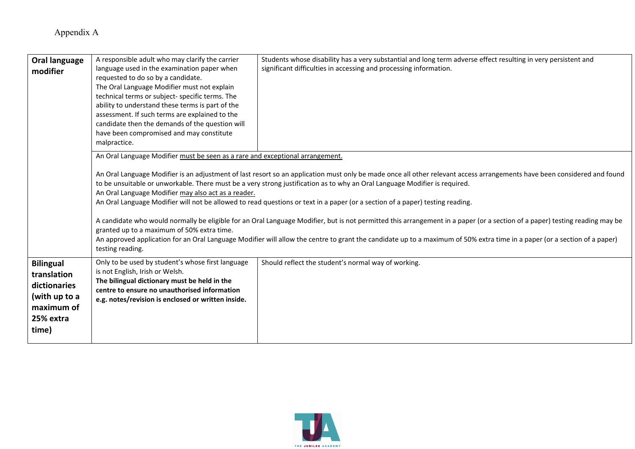| Oral language<br>modifier                                                                            | A responsible adult who may clarify the carrier<br>language used in the examination paper when<br>requested to do so by a candidate.<br>The Oral Language Modifier must not explain<br>technical terms or subject- specific terms. The<br>ability to understand these terms is part of the<br>assessment. If such terms are explained to the<br>candidate then the demands of the question will<br>have been compromised and may constitute<br>malpractice. | Students whose disability has a very substantial and long term adverse effect resulting in very persistent and<br>significant difficulties in accessing and processing information.                                                                                                                                                                                                                                                                                                                                                                                                                                                                                                                                                                                                                 |
|------------------------------------------------------------------------------------------------------|-------------------------------------------------------------------------------------------------------------------------------------------------------------------------------------------------------------------------------------------------------------------------------------------------------------------------------------------------------------------------------------------------------------------------------------------------------------|-----------------------------------------------------------------------------------------------------------------------------------------------------------------------------------------------------------------------------------------------------------------------------------------------------------------------------------------------------------------------------------------------------------------------------------------------------------------------------------------------------------------------------------------------------------------------------------------------------------------------------------------------------------------------------------------------------------------------------------------------------------------------------------------------------|
|                                                                                                      | An Oral Language Modifier must be seen as a rare and exceptional arrangement.<br>An Oral Language Modifier may also act as a reader.<br>granted up to a maximum of 50% extra time.<br>testing reading.                                                                                                                                                                                                                                                      | An Oral Language Modifier is an adjustment of last resort so an application must only be made once all other relevant access arrangements have been considered and found<br>to be unsuitable or unworkable. There must be a very strong justification as to why an Oral Language Modifier is required.<br>An Oral Language Modifier will not be allowed to read questions or text in a paper (or a section of a paper) testing reading.<br>A candidate who would normally be eligible for an Oral Language Modifier, but is not permitted this arrangement in a paper (or a section of a paper) testing reading may be<br>An approved application for an Oral Language Modifier will allow the centre to grant the candidate up to a maximum of 50% extra time in a paper (or a section of a paper) |
| <b>Bilingual</b><br>translation<br>dictionaries<br>(with up to a<br>maximum of<br>25% extra<br>time) | Only to be used by student's whose first language<br>is not English, Irish or Welsh.<br>The bilingual dictionary must be held in the<br>centre to ensure no unauthorised information<br>e.g. notes/revision is enclosed or written inside.                                                                                                                                                                                                                  | Should reflect the student's normal way of working.                                                                                                                                                                                                                                                                                                                                                                                                                                                                                                                                                                                                                                                                                                                                                 |

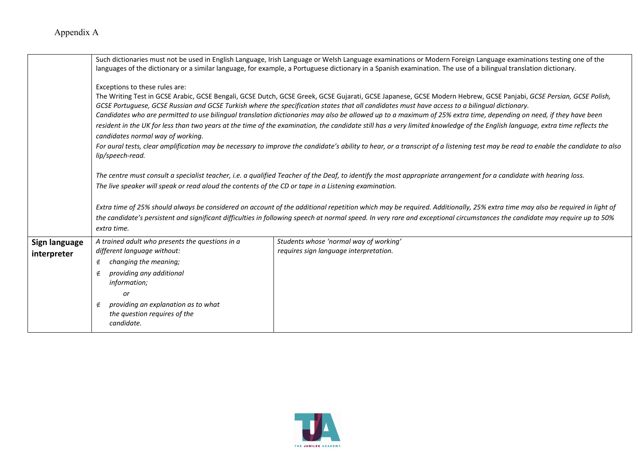|                              |                                                                                                                                                                                                                                                               | Such dictionaries must not be used in English Language, Irish Language or Welsh Language examinations or Modern Foreign Language examinations testing one of the<br>languages of the dictionary or a similar language, for example, a Portuguese dictionary in a Spanish examination. The use of a bilingual translation dictionary.                                                                                                                                                                                                                                                                                                                                                                                                                                                                                                                          |
|------------------------------|---------------------------------------------------------------------------------------------------------------------------------------------------------------------------------------------------------------------------------------------------------------|---------------------------------------------------------------------------------------------------------------------------------------------------------------------------------------------------------------------------------------------------------------------------------------------------------------------------------------------------------------------------------------------------------------------------------------------------------------------------------------------------------------------------------------------------------------------------------------------------------------------------------------------------------------------------------------------------------------------------------------------------------------------------------------------------------------------------------------------------------------|
|                              | Exceptions to these rules are:<br>candidates normal way of working.<br>lip/speech-read.                                                                                                                                                                       | The Writing Test in GCSE Arabic, GCSE Bengali, GCSE Dutch, GCSE Greek, GCSE Gujarati, GCSE Japanese, GCSE Modern Hebrew, GCSE Panjabi, GCSE Persian, GCSE Polish,<br>GCSE Portuguese, GCSE Russian and GCSE Turkish where the specification states that all candidates must have access to a bilingual dictionary.<br>Candidates who are permitted to use bilingual translation dictionaries may also be allowed up to a maximum of 25% extra time, depending on need, if they have been<br>resident in the UK for less than two years at the time of the examination, the candidate still has a very limited knowledge of the English language, extra time reflects the<br>For aural tests, clear amplification may be necessary to improve the candidate's ability to hear, or a transcript of a listening test may be read to enable the candidate to also |
|                              | The live speaker will speak or read aloud the contents of the CD or tape in a Listening examination.<br>extra time.                                                                                                                                           | The centre must consult a specialist teacher, i.e. a qualified Teacher of the Deaf, to identify the most appropriate arrangement for a candidate with hearing loss.<br>Extra time of 25% should always be considered on account of the additional repetition which may be required. Additionally, 25% extra time may also be required in light of<br>the candidate's persistent and significant difficulties in following speech at normal speed. In very rare and exceptional circumstances the candidate may require up to 50%                                                                                                                                                                                                                                                                                                                              |
| Sign language<br>interpreter | A trained adult who presents the questions in a<br>different language without:<br>changing the meaning;<br>∉<br>providing any additional<br>∉<br>information;<br>or<br>providing an explanation as to what<br>∉<br>the question requires of the<br>candidate. | Students whose 'normal way of working'<br>requires sign language interpretation.                                                                                                                                                                                                                                                                                                                                                                                                                                                                                                                                                                                                                                                                                                                                                                              |

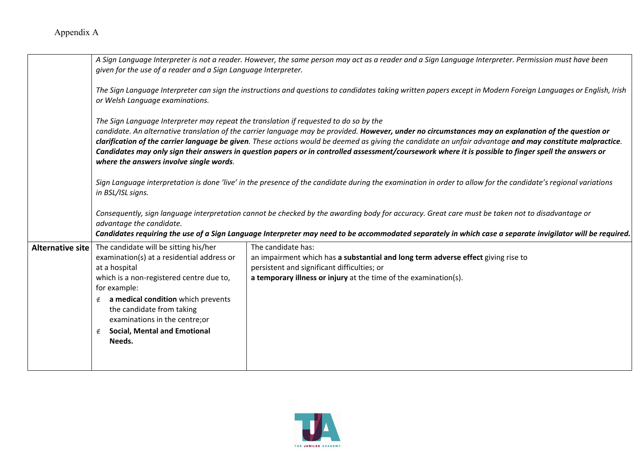|                  | given for the use of a reader and a Sign Language Interpreter.                                                                                                                                                                                                                                                                                                                                                                                                                                                                                                                                                | A Sign Language Interpreter is not a reader. However, the same person may act as a reader and a Sign Language Interpreter. Permission must have been                                                                                                                                                         |  |
|------------------|---------------------------------------------------------------------------------------------------------------------------------------------------------------------------------------------------------------------------------------------------------------------------------------------------------------------------------------------------------------------------------------------------------------------------------------------------------------------------------------------------------------------------------------------------------------------------------------------------------------|--------------------------------------------------------------------------------------------------------------------------------------------------------------------------------------------------------------------------------------------------------------------------------------------------------------|--|
|                  | or Welsh Language examinations.                                                                                                                                                                                                                                                                                                                                                                                                                                                                                                                                                                               | The Sign Language Interpreter can sign the instructions and questions to candidates taking written papers except in Modern Foreign Languages or English, Irish                                                                                                                                               |  |
|                  | The Sign Language Interpreter may repeat the translation if requested to do so by the<br>candidate. An alternative translation of the carrier language may be provided. However, under no circumstances may an explanation of the question or<br>clarification of the carrier language be given. These actions would be deemed as giving the candidate an unfair advantage and may constitute malpractice.<br>Candidates may only sign their answers in question papers or in controlled assessment/coursework where it is possible to finger spell the answers or<br>where the answers involve single words. |                                                                                                                                                                                                                                                                                                              |  |
|                  | Sign Language interpretation is done 'live' in the presence of the candidate during the examination in order to allow for the candidate's regional variations<br>in BSL/ISL signs.                                                                                                                                                                                                                                                                                                                                                                                                                            |                                                                                                                                                                                                                                                                                                              |  |
|                  | advantage the candidate.                                                                                                                                                                                                                                                                                                                                                                                                                                                                                                                                                                                      | Consequently, sign language interpretation cannot be checked by the awarding body for accuracy. Great care must be taken not to disadvantage or<br>Candidates requiring the use of a Sign Language Interpreter may need to be accommodated separately in which case a separate invigilator will be required. |  |
| Alternative site | The candidate will be sitting his/her<br>examination(s) at a residential address or<br>at a hospital<br>which is a non-registered centre due to,<br>for example:<br>a medical condition which prevents<br>the candidate from taking<br>examinations in the centre; or<br><b>Social, Mental and Emotional</b><br>∉<br>Needs.                                                                                                                                                                                                                                                                                   | The candidate has:<br>an impairment which has a substantial and long term adverse effect giving rise to<br>persistent and significant difficulties; or<br>a temporary illness or injury at the time of the examination(s).                                                                                   |  |
|                  |                                                                                                                                                                                                                                                                                                                                                                                                                                                                                                                                                                                                               |                                                                                                                                                                                                                                                                                                              |  |

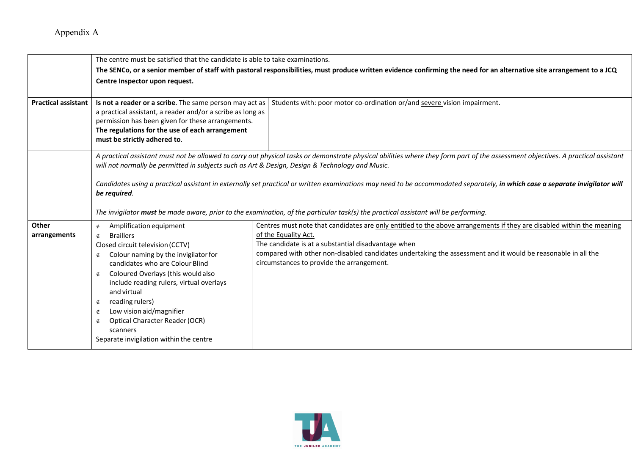|                            | The centre must be satisfied that the candidate is able to take examinations.                                                                                                                                                                                 |                                                                                                                                                                                  |  |
|----------------------------|---------------------------------------------------------------------------------------------------------------------------------------------------------------------------------------------------------------------------------------------------------------|----------------------------------------------------------------------------------------------------------------------------------------------------------------------------------|--|
|                            | The SENCo, or a senior member of staff with pastoral responsibilities, must produce written evidence confirming the need for an alternative site arrangement to a JCQ                                                                                         |                                                                                                                                                                                  |  |
|                            | Centre Inspector upon request.                                                                                                                                                                                                                                |                                                                                                                                                                                  |  |
|                            |                                                                                                                                                                                                                                                               |                                                                                                                                                                                  |  |
| <b>Practical assistant</b> | Is not a reader or a scribe. The same person may act as<br>a practical assistant, a reader and/or a scribe as long as<br>permission has been given for these arrangements.<br>The regulations for the use of each arrangement<br>must be strictly adhered to. | Students with: poor motor co-ordination or/and severe vision impairment.                                                                                                         |  |
|                            | will not normally be permitted in subjects such as Art & Design, Design & Technology and Music.                                                                                                                                                               | A practical assistant must not be allowed to carry out physical tasks or demonstrate physical abilities where they form part of the assessment objectives. A practical assistant |  |
|                            | be required.                                                                                                                                                                                                                                                  | Candidates using a practical assistant in externally set practical or written examinations may need to be accommodated separately, in which case a separate invigilator will     |  |
|                            |                                                                                                                                                                                                                                                               | The invigilator must be made aware, prior to the examination, of the particular task(s) the practical assistant will be performing.                                              |  |
| Other                      | Amplification equipment<br>∉                                                                                                                                                                                                                                  | Centres must note that candidates are only entitled to the above arrangements if they are disabled within the meaning                                                            |  |
| arrangements               | <b>Braillers</b><br>∉                                                                                                                                                                                                                                         | of the Equality Act.                                                                                                                                                             |  |
|                            | Closed circuit television (CCTV)                                                                                                                                                                                                                              | The candidate is at a substantial disadvantage when                                                                                                                              |  |
|                            | Colour naming by the invigilator for<br>∉                                                                                                                                                                                                                     | compared with other non-disabled candidates undertaking the assessment and it would be reasonable in all the                                                                     |  |
|                            | candidates who are Colour Blind                                                                                                                                                                                                                               | circumstances to provide the arrangement.                                                                                                                                        |  |
|                            | Coloured Overlays (this would also<br>∉                                                                                                                                                                                                                       |                                                                                                                                                                                  |  |
|                            | include reading rulers, virtual overlays                                                                                                                                                                                                                      |                                                                                                                                                                                  |  |
|                            | and virtual                                                                                                                                                                                                                                                   |                                                                                                                                                                                  |  |
|                            | reading rulers)<br>∉                                                                                                                                                                                                                                          |                                                                                                                                                                                  |  |
|                            | Low vision aid/magnifier<br>∉                                                                                                                                                                                                                                 |                                                                                                                                                                                  |  |
|                            | <b>Optical Character Reader (OCR)</b><br>∉                                                                                                                                                                                                                    |                                                                                                                                                                                  |  |
|                            | scanners                                                                                                                                                                                                                                                      |                                                                                                                                                                                  |  |
|                            | Separate invigilation within the centre                                                                                                                                                                                                                       |                                                                                                                                                                                  |  |
|                            |                                                                                                                                                                                                                                                               |                                                                                                                                                                                  |  |